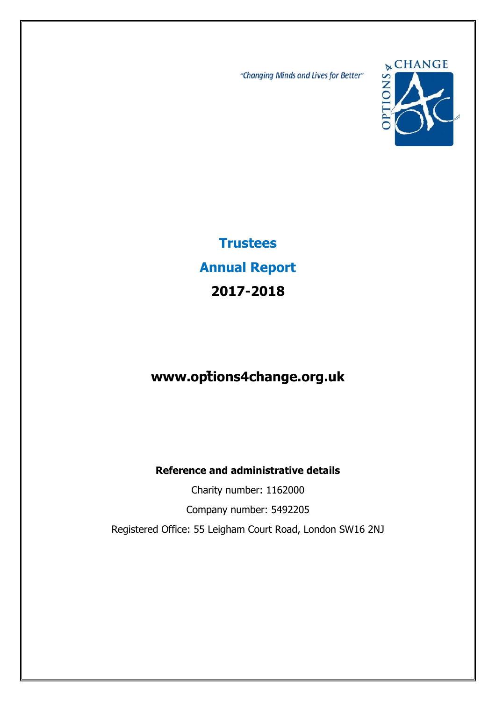"Changing Minds and Lives for Better"



**Trustees Annual Report 2017-2018**

# **www.options4change.org.uk**

**Reference and administrative details** 

Charity number: 1162000 Company number: 5492205 Registered Office: 55 Leigham Court Road, London SW16 2NJ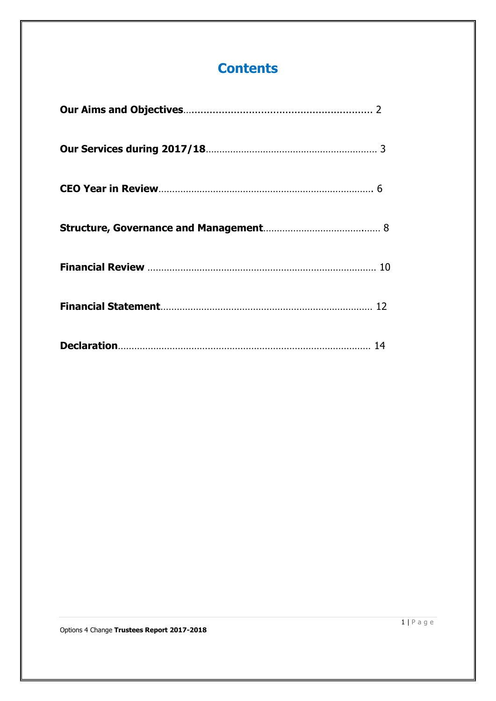# **Contents**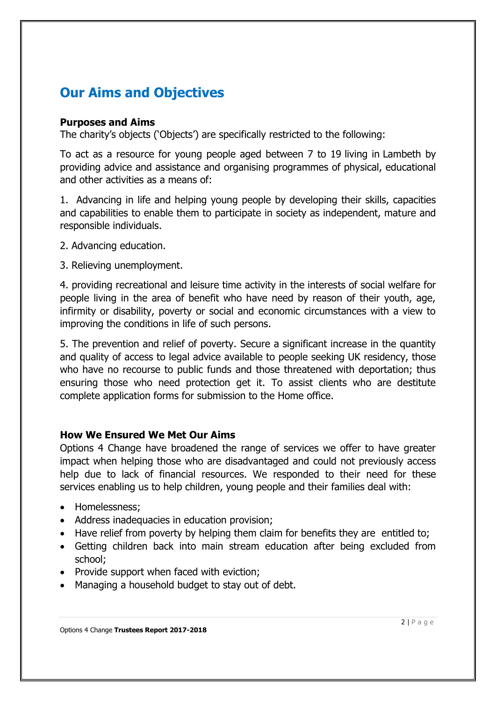# **Our Aims and Objectives**

### **Purposes and Aims**

The charity's objects ('Objects') are specifically restricted to the following:

To act as a resource for young people aged between 7 to 19 living in Lambeth by providing advice and assistance and organising programmes of physical, educational and other activities as a means of:

1. Advancing in life and helping young people by developing their skills, capacities and capabilities to enable them to participate in society as independent, mature and responsible individuals.

- 2. Advancing education.
- 3. Relieving unemployment.

4. providing recreational and leisure time activity in the interests of social welfare for people living in the area of benefit who have need by reason of their youth, age, infirmity or disability, poverty or social and economic circumstances with a view to improving the conditions in life of such persons.

5. The prevention and relief of poverty. Secure a significant increase in the quantity and quality of access to legal advice available to people seeking UK residency, those who have no recourse to public funds and those threatened with deportation; thus ensuring those who need protection get it. To assist clients who are destitute complete application forms for submission to the Home office.

## **How We Ensured We Met Our Aims**

Options 4 Change have broadened the range of services we offer to have greater impact when helping those who are disadvantaged and could not previously access help due to lack of financial resources. We responded to their need for these services enabling us to help children, young people and their families deal with:

- Homelessness:
- Address inadequacies in education provision;
- Have relief from poverty by helping them claim for benefits they are entitled to;
- Getting children back into main stream education after being excluded from school;
- Provide support when faced with eviction;
- Managing a household budget to stay out of debt.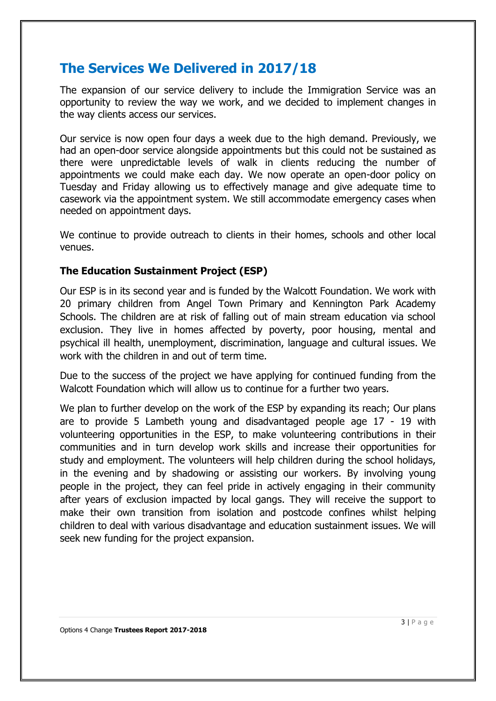## **The Services We Delivered in 2017/18**

The expansion of our service delivery to include the Immigration Service was an opportunity to review the way we work, and we decided to implement changes in the way clients access our services.

Our service is now open four days a week due to the high demand. Previously, we had an open-door service alongside appointments but this could not be sustained as there were unpredictable levels of walk in clients reducing the number of appointments we could make each day. We now operate an open-door policy on Tuesday and Friday allowing us to effectively manage and give adequate time to casework via the appointment system. We still accommodate emergency cases when needed on appointment days.

We continue to provide outreach to clients in their homes, schools and other local venues.

## **The Education Sustainment Project (ESP)**

Our ESP is in its second year and is funded by the Walcott Foundation. We work with 20 primary children from Angel Town Primary and Kennington Park Academy Schools. The children are at risk of falling out of main stream education via school exclusion. They live in homes affected by poverty, poor housing, mental and psychical ill health, unemployment, discrimination, language and cultural issues. We work with the children in and out of term time.

Due to the success of the project we have applying for continued funding from the Walcott Foundation which will allow us to continue for a further two years.

We plan to further develop on the work of the ESP by expanding its reach; Our plans are to provide 5 Lambeth young and disadvantaged people age 17 - 19 with volunteering opportunities in the ESP, to make volunteering contributions in their communities and in turn develop work skills and increase their opportunities for study and employment. The volunteers will help children during the school holidays, in the evening and by shadowing or assisting our workers. By involving young people in the project, they can feel pride in actively engaging in their community after years of exclusion impacted by local gangs. They will receive the support to make their own transition from isolation and postcode confines whilst helping children to deal with various disadvantage and education sustainment issues. We will seek new funding for the project expansion.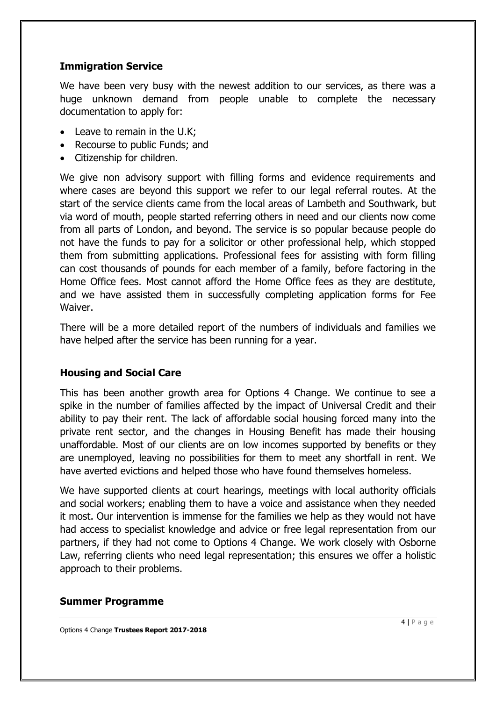## **Immigration Service**

We have been very busy with the newest addition to our services, as there was a huge unknown demand from people unable to complete the necessary documentation to apply for:

- Leave to remain in the U.K;
- Recourse to public Funds; and
- Citizenship for children.

We give non advisory support with filling forms and evidence requirements and where cases are beyond this support we refer to our legal referral routes. At the start of the service clients came from the local areas of Lambeth and Southwark, but via word of mouth, people started referring others in need and our clients now come from all parts of London, and beyond. The service is so popular because people do not have the funds to pay for a solicitor or other professional help, which stopped them from submitting applications. Professional fees for assisting with form filling can cost thousands of pounds for each member of a family, before factoring in the Home Office fees. Most cannot afford the Home Office fees as they are destitute, and we have assisted them in successfully completing application forms for Fee Waiver.

There will be a more detailed report of the numbers of individuals and families we have helped after the service has been running for a year.

## **Housing and Social Care**

This has been another growth area for Options 4 Change. We continue to see a spike in the number of families affected by the impact of Universal Credit and their ability to pay their rent. The lack of affordable social housing forced many into the private rent sector, and the changes in Housing Benefit has made their housing unaffordable. Most of our clients are on low incomes supported by benefits or they are unemployed, leaving no possibilities for them to meet any shortfall in rent. We have averted evictions and helped those who have found themselves homeless.

We have supported clients at court hearings, meetings with local authority officials and social workers; enabling them to have a voice and assistance when they needed it most. Our intervention is immense for the families we help as they would not have had access to specialist knowledge and advice or free legal representation from our partners, if they had not come to Options 4 Change. We work closely with Osborne Law, referring clients who need legal representation; this ensures we offer a holistic approach to their problems.

### **Summer Programme**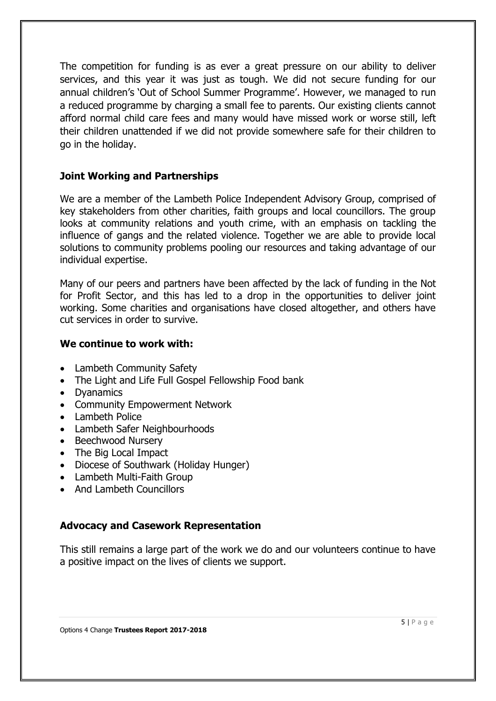The competition for funding is as ever a great pressure on our ability to deliver services, and this year it was just as tough. We did not secure funding for our annual children's 'Out of School Summer Programme'. However, we managed to run a reduced programme by charging a small fee to parents. Our existing clients cannot afford normal child care fees and many would have missed work or worse still, left their children unattended if we did not provide somewhere safe for their children to go in the holiday.

## **Joint Working and Partnerships**

We are a member of the Lambeth Police Independent Advisory Group, comprised of key stakeholders from other charities, faith groups and local councillors. The group looks at community relations and youth crime, with an emphasis on tackling the influence of gangs and the related violence. Together we are able to provide local solutions to community problems pooling our resources and taking advantage of our individual expertise.

Many of our peers and partners have been affected by the lack of funding in the Not for Profit Sector, and this has led to a drop in the opportunities to deliver joint working. Some charities and organisations have closed altogether, and others have cut services in order to survive.

### **We continue to work with:**

- Lambeth Community Safety
- The Light and Life Full Gospel Fellowship Food bank
- Dyanamics
- Community Empowerment Network
- Lambeth Police
- Lambeth Safer Neighbourhoods
- Beechwood Nursery
- The Big Local Impact
- Diocese of Southwark (Holiday Hunger)
- Lambeth Multi-Faith Group
- And Lambeth Councillors

### **Advocacy and Casework Representation**

This still remains a large part of the work we do and our volunteers continue to have a positive impact on the lives of clients we support.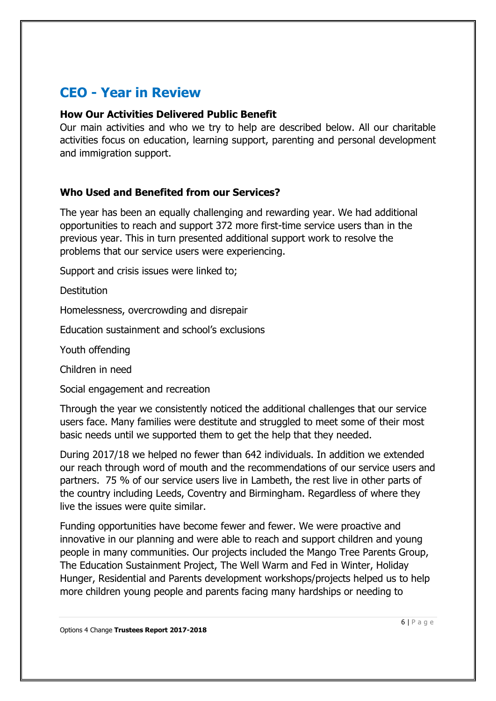# **CEO - Year in Review**

### **How Our Activities Delivered Public Benefit**

Our main activities and who we try to help are described below. All our charitable activities focus on education, learning support, parenting and personal development and immigration support.

## **Who Used and Benefited from our Services?**

The year has been an equally challenging and rewarding year. We had additional opportunities to reach and support 372 more first-time service users than in the previous year. This in turn presented additional support work to resolve the problems that our service users were experiencing.

Support and crisis issues were linked to;

**Destitution** 

Homelessness, overcrowding and disrepair

Education sustainment and school's exclusions

Youth offending

Children in need

Social engagement and recreation

Through the year we consistently noticed the additional challenges that our service users face. Many families were destitute and struggled to meet some of their most basic needs until we supported them to get the help that they needed.

During 2017/18 we helped no fewer than 642 individuals. In addition we extended our reach through word of mouth and the recommendations of our service users and partners. 75 % of our service users live in Lambeth, the rest live in other parts of the country including Leeds, Coventry and Birmingham. Regardless of where they live the issues were quite similar.

Funding opportunities have become fewer and fewer. We were proactive and innovative in our planning and were able to reach and support children and young people in many communities. Our projects included the Mango Tree Parents Group, The Education Sustainment Project, The Well Warm and Fed in Winter, Holiday Hunger, Residential and Parents development workshops/projects helped us to help more children young people and parents facing many hardships or needing to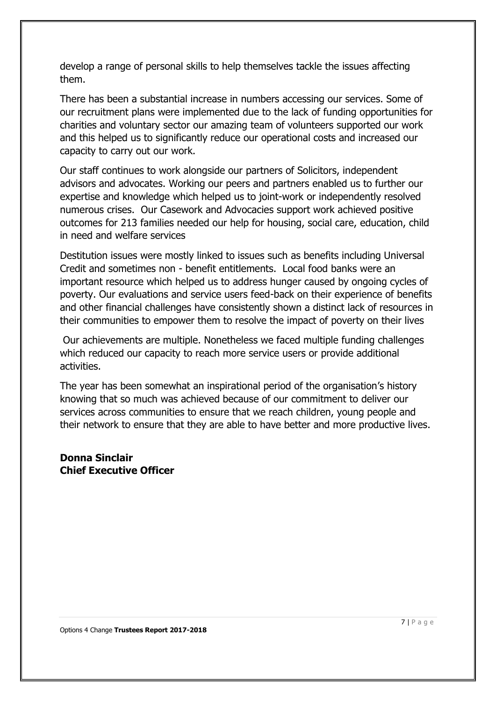develop a range of personal skills to help themselves tackle the issues affecting them.

There has been a substantial increase in numbers accessing our services. Some of our recruitment plans were implemented due to the lack of funding opportunities for charities and voluntary sector our amazing team of volunteers supported our work and this helped us to significantly reduce our operational costs and increased our capacity to carry out our work.

Our staff continues to work alongside our partners of Solicitors, independent advisors and advocates. Working our peers and partners enabled us to further our expertise and knowledge which helped us to joint-work or independently resolved numerous crises. Our Casework and Advocacies support work achieved positive outcomes for 213 families needed our help for housing, social care, education, child in need and welfare services

Destitution issues were mostly linked to issues such as benefits including Universal Credit and sometimes non - benefit entitlements. Local food banks were an important resource which helped us to address hunger caused by ongoing cycles of poverty. Our evaluations and service users feed-back on their experience of benefits and other financial challenges have consistently shown a distinct lack of resources in their communities to empower them to resolve the impact of poverty on their lives

 Our achievements are multiple. Nonetheless we faced multiple funding challenges which reduced our capacity to reach more service users or provide additional activities.

The year has been somewhat an inspirational period of the organisation's history knowing that so much was achieved because of our commitment to deliver our services across communities to ensure that we reach children, young people and their network to ensure that they are able to have better and more productive lives.

## **Donna Sinclair Chief Executive Officer**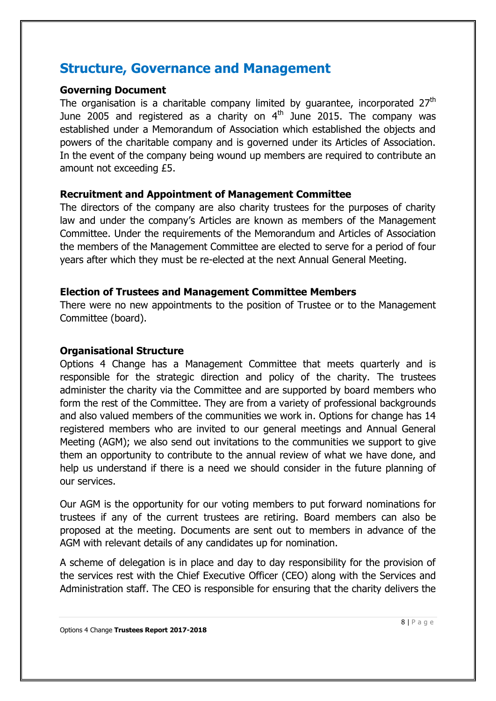## **Structure, Governance and Management**

### **Governing Document**

The organisation is a charitable company limited by guarantee, incorporated  $27<sup>th</sup>$ June 2005 and registered as a charity on  $4<sup>th</sup>$  June 2015. The company was established under a Memorandum of Association which established the objects and powers of the charitable company and is governed under its Articles of Association. In the event of the company being wound up members are required to contribute an amount not exceeding £5.

## **Recruitment and Appointment of Management Committee**

The directors of the company are also charity trustees for the purposes of charity law and under the company's Articles are known as members of the Management Committee. Under the requirements of the Memorandum and Articles of Association the members of the Management Committee are elected to serve for a period of four years after which they must be re-elected at the next Annual General Meeting.

### **Election of Trustees and Management Committee Members**

There were no new appointments to the position of Trustee or to the Management Committee (board).

### **Organisational Structure**

Options 4 Change has a Management Committee that meets quarterly and is responsible for the strategic direction and policy of the charity. The trustees administer the charity via the Committee and are supported by board members who form the rest of the Committee. They are from a variety of professional backgrounds and also valued members of the communities we work in. Options for change has 14 registered members who are invited to our general meetings and Annual General Meeting (AGM); we also send out invitations to the communities we support to give them an opportunity to contribute to the annual review of what we have done, and help us understand if there is a need we should consider in the future planning of our services.

Our AGM is the opportunity for our voting members to put forward nominations for trustees if any of the current trustees are retiring. Board members can also be proposed at the meeting. Documents are sent out to members in advance of the AGM with relevant details of any candidates up for nomination.

A scheme of delegation is in place and day to day responsibility for the provision of the services rest with the Chief Executive Officer (CEO) along with the Services and Administration staff. The CEO is responsible for ensuring that the charity delivers the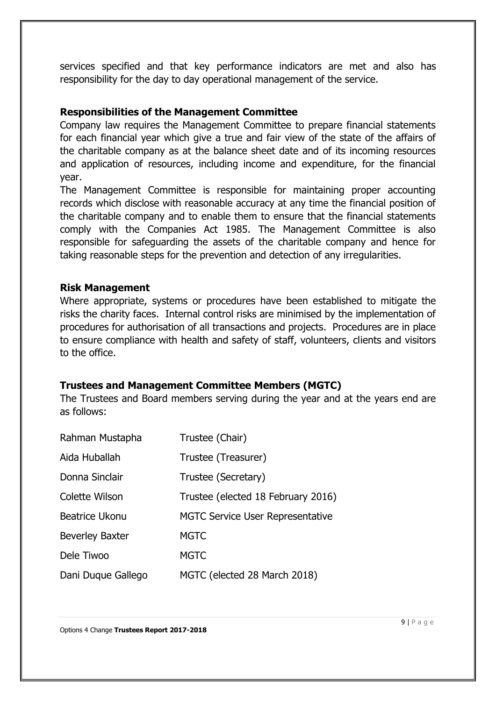services specified and that key performance indicators are met and also has responsibility for the day to day operational management of the service.

### **Responsibilities of the Management Committee**

Company law requires the Management Committee to prepare financial statements for each financial year which give a true and fair view of the state of the affairs of the charitable company as at the balance sheet date and of its incoming resources and application of resources, including income and expenditure, for the financial year.

The Management Committee is responsible for maintaining proper accounting records which disclose with reasonable accuracy at any time the financial position of the charitable company and to enable them to ensure that the financial statements comply with the Companies Act 1985. The Management Committee is also responsible for safeguarding the assets of the charitable company and hence for taking reasonable steps for the prevention and detection of any irregularities.

### **Risk Management**

Where appropriate, systems or procedures have been established to mitigate the risks the charity faces. Internal control risks are minimised by the implementation of procedures for authorisation of all transactions and projects. Procedures are in place to ensure compliance with health and safety of staff, volunteers, clients and visitors to the office.

## **Trustees and Management Committee Members (MGTC)**

The Trustees and Board members serving during the year and at the years end are as follows:

| Rahman Mustapha        | Trustee (Chair)                         |
|------------------------|-----------------------------------------|
| Aida Huballah          | Trustee (Treasurer)                     |
| Donna Sinclair         | Trustee (Secretary)                     |
| Colette Wilson         | Trustee (elected 18 February 2016)      |
| <b>Beatrice Ukonu</b>  | <b>MGTC Service User Representative</b> |
| <b>Beverley Baxter</b> | <b>MGTC</b>                             |
| Dele Tiwoo             | <b>MGTC</b>                             |
| Dani Duque Gallego     | MGTC (elected 28 March 2018)            |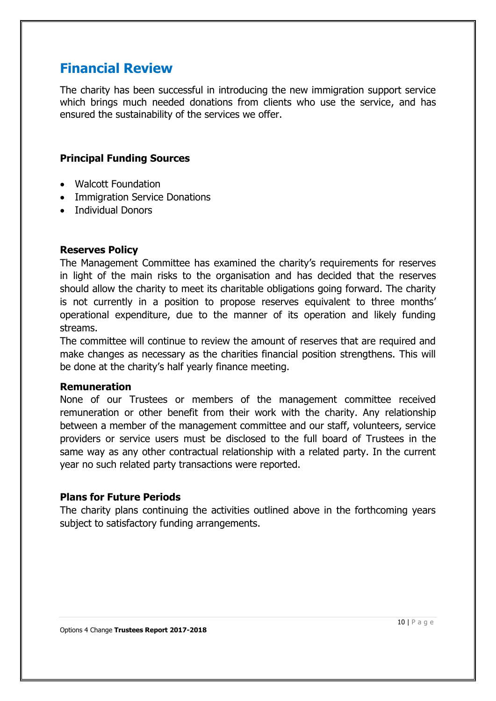# **Financial Review**

The charity has been successful in introducing the new immigration support service which brings much needed donations from clients who use the service, and has ensured the sustainability of the services we offer.

## **Principal Funding Sources**

- Walcott Foundation
- Immigration Service Donations
- Individual Donors

## **Reserves Policy**

The Management Committee has examined the charity's requirements for reserves in light of the main risks to the organisation and has decided that the reserves should allow the charity to meet its charitable obligations going forward. The charity is not currently in a position to propose reserves equivalent to three months' operational expenditure, due to the manner of its operation and likely funding streams.

The committee will continue to review the amount of reserves that are required and make changes as necessary as the charities financial position strengthens. This will be done at the charity's half yearly finance meeting.

## **Remuneration**

None of our Trustees or members of the management committee received remuneration or other benefit from their work with the charity. Any relationship between a member of the management committee and our staff, volunteers, service providers or service users must be disclosed to the full board of Trustees in the same way as any other contractual relationship with a related party. In the current year no such related party transactions were reported.

## **Plans for Future Periods**

The charity plans continuing the activities outlined above in the forthcoming years subject to satisfactory funding arrangements.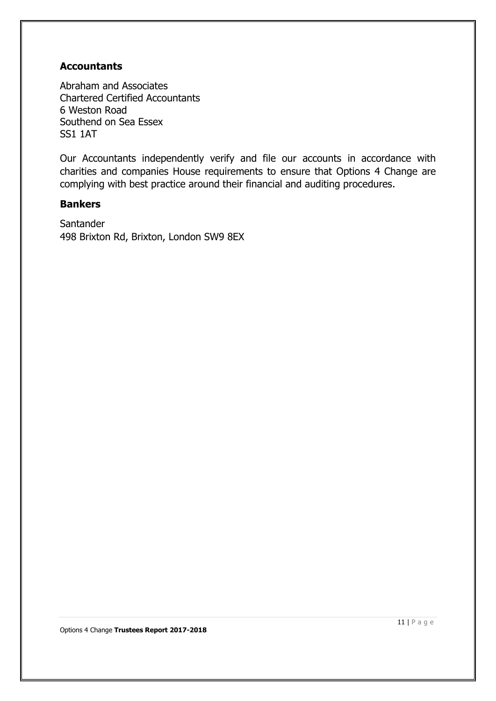## **Accountants**

Abraham and Associates Chartered Certified Accountants 6 Weston Road Southend on Sea Essex SS1 1AT

Our Accountants independently verify and file our accounts in accordance with charities and companies House requirements to ensure that Options 4 Change are complying with best practice around their financial and auditing procedures.

### **Bankers**

**Santander** 498 Brixton Rd, Brixton, London SW9 8EX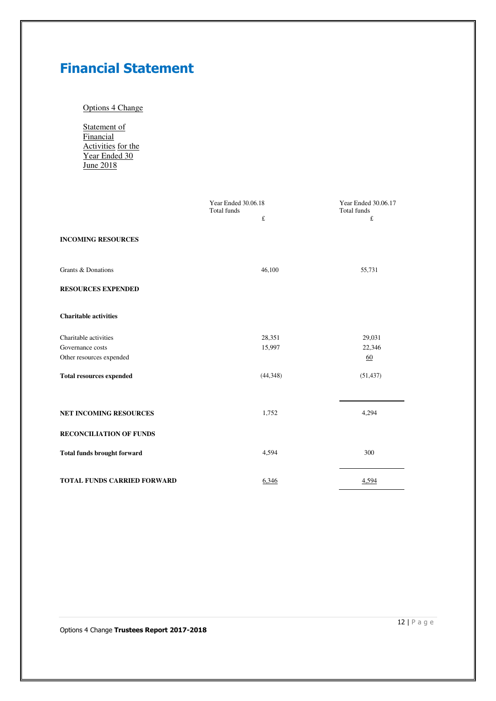# **Financial Statement**

### Options 4 Change

Statement of **Financial** Activities for the Year Ended 30 **June 2018** 

|                                    | Year Ended 30.06.18             | Year Ended 30.06.17 |  |
|------------------------------------|---------------------------------|---------------------|--|
|                                    | <b>Total funds</b><br>$\pounds$ | Total funds<br>£    |  |
|                                    |                                 |                     |  |
| <b>INCOMING RESOURCES</b>          |                                 |                     |  |
|                                    |                                 |                     |  |
| Grants & Donations                 | 46,100                          |                     |  |
|                                    |                                 | 55,731              |  |
| <b>RESOURCES EXPENDED</b>          |                                 |                     |  |
|                                    |                                 |                     |  |
| <b>Charitable activities</b>       |                                 |                     |  |
|                                    |                                 |                     |  |
| Charitable activities              | 28,351                          | 29,031              |  |
| Governance costs                   | 15,997                          | 22,346              |  |
| Other resources expended           |                                 | 60                  |  |
|                                    | (44, 348)                       | (51, 437)           |  |
| <b>Total resources expended</b>    |                                 |                     |  |
|                                    |                                 |                     |  |
|                                    |                                 |                     |  |
| NET INCOMING RESOURCES             | 1,752                           | 4,294               |  |
| <b>RECONCILIATION OF FUNDS</b>     |                                 |                     |  |
|                                    |                                 |                     |  |
| <b>Total funds brought forward</b> | 4,594                           | 300                 |  |
|                                    |                                 |                     |  |
| <b>TOTAL FUNDS CARRIED FORWARD</b> | 6,346                           | 4,594               |  |
|                                    |                                 |                     |  |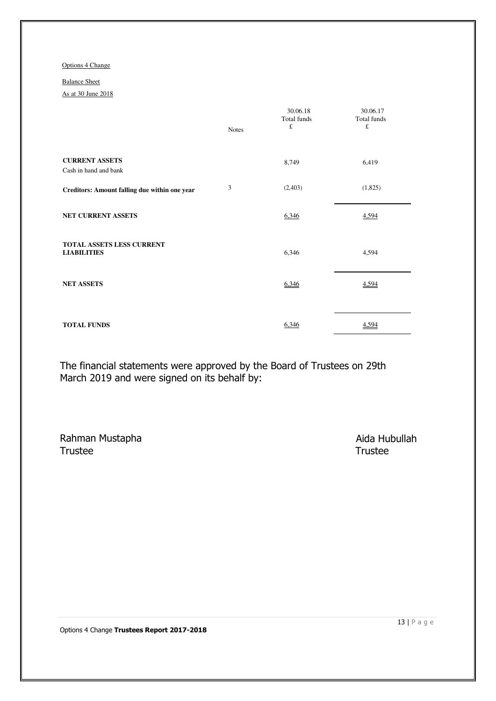#### Balance Sheet

As at 30 June 2018

|                                                 | <b>Notes</b> | 30.06.18<br>Total funds<br>$\pounds$ | 30.06.17<br>Total funds<br>£ |
|-------------------------------------------------|--------------|--------------------------------------|------------------------------|
| <b>CURRENT ASSETS</b><br>Cash in hand and bank  |              | 8,749                                | 6,419                        |
| Creditors: Amount falling due within one year   | 3            | (2,403)                              | (1,825)                      |
| <b>NET CURRENT ASSETS</b>                       |              | 6,346                                | 4,594                        |
| TOTAL ASSETS LESS CURRENT<br><b>LIABILITIES</b> |              | 6,346                                | 4,594                        |
| <b>NET ASSETS</b>                               |              | 6,346                                | 4,594                        |
| <b>TOTAL FUNDS</b>                              |              | 6,346                                | 4,594                        |

The financial statements were approved by the Board of Trustees on 29th March 2019 and were signed on its behalf by:

Rahman Mustapha **Aida Hubullah** Trustee Trustee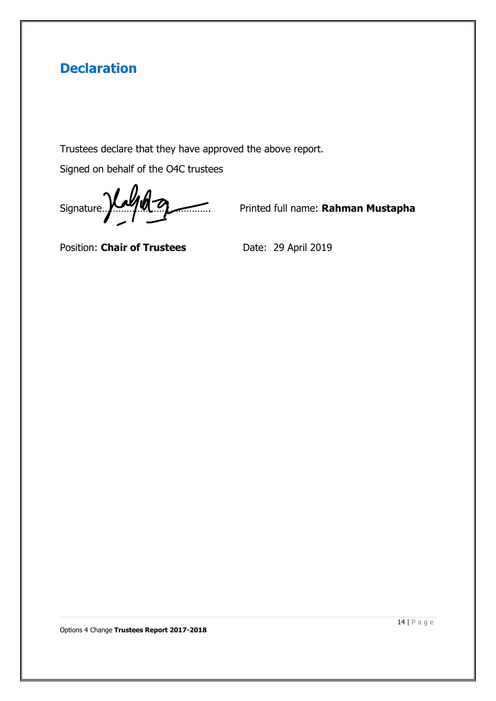# **Declaration**

Trustees declare that they have approved the above report.

Signed on behalf of the O4C trustees

Signature... **With a Superior Contract of the Contract of Contract Australian Mustapha** 

Position: **Chair of Trustees** Date: 29 April 2019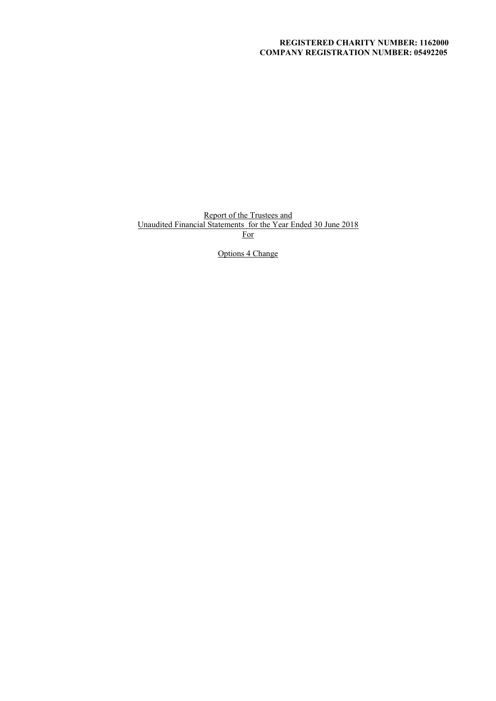### **REGISTERED CHARITY NUMBER: 1162000 COMPANY REGISTRATION NUMBER: 05492205**

Report of the Trustees and Unaudited Financial Statements for the Year Ended 30 June 2018 For

Options 4 Change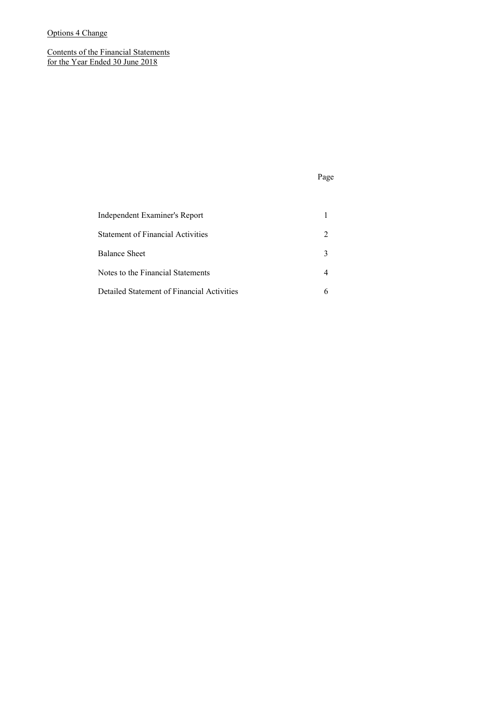Contents of the Financial Statements for the Year Ended 30 June 2018

### Page

| <b>Independent Examiner's Report</b>       |                             |
|--------------------------------------------|-----------------------------|
| <b>Statement of Financial Activities</b>   | $\mathcal{D}_{\mathcal{L}}$ |
| <b>Balance Sheet</b>                       | 3                           |
| Notes to the Financial Statements          |                             |
| Detailed Statement of Financial Activities |                             |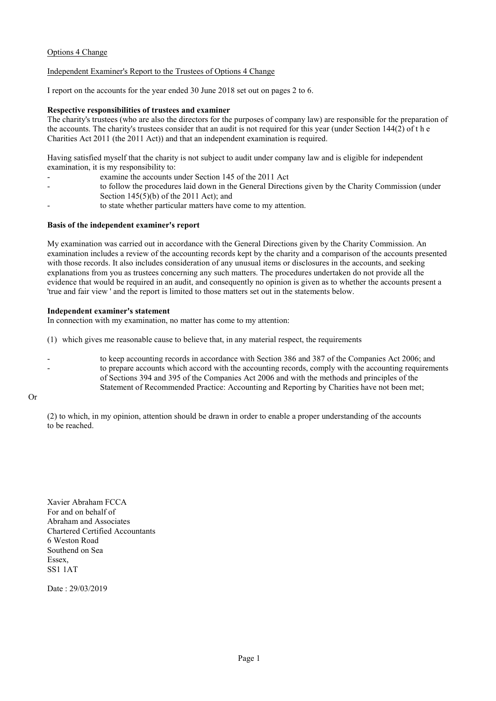#### Independent Examiner's Report to the Trustees of Options 4 Change

I report on the accounts for the year ended 30 June 2018 set out on pages 2 to 6.

#### **Respective responsibilities of trustees and examiner**

The charity's trustees (who are also the directors for the purposes of company law) are responsible for the preparation of the accounts. The charity's trustees consider that an audit is not required for this year (under Section 144(2) of t h e Charities Act 2011 (the 2011 Act)) and that an independent examination is required.

Having satisfied myself that the charity is not subject to audit under company law and is eligible for independent examination, it is my responsibility to:

- examine the accounts under Section 145 of the 2011 Act
- to follow the procedures laid down in the General Directions given by the Charity Commission (under Section 145(5)(b) of the 2011 Act); and
- to state whether particular matters have come to my attention.

#### **Basis of the independent examiner's report**

My examination was carried out in accordance with the General Directions given by the Charity Commission. An examination includes a review of the accounting records kept by the charity and a comparison of the accounts presented with those records. It also includes consideration of any unusual items or disclosures in the accounts, and seeking explanations from you as trustees concerning any such matters. The procedures undertaken do not provide all the evidence that would be required in an audit, and consequently no opinion is given as to whether the accounts present a 'true and fair view ' and the report is limited to those matters set out in the statements below.

#### **Independent examiner's statement**

In connection with my examination, no matter has come to my attention:

- (1) which gives me reasonable cause to believe that, in any material respect, the requirements
- to keep accounting records in accordance with Section 386 and 387 of the Companies Act 2006; and - to prepare accounts which accord with the accounting records, comply with the accounting requirements of Sections 394 and 395 of the Companies Act 2006 and with the methods and principles of the Statement of Recommended Practice: Accounting and Reporting by Charities have not been met;

#### Or

(2) to which, in my opinion, attention should be drawn in order to enable a proper understanding of the accounts to be reached.

Xavier Abraham FCCA For and on behalf of Abraham and Associates Chartered Certified Accountants 6 Weston Road Southend on Sea Essex, SS1 1AT

Date : 29/03/2019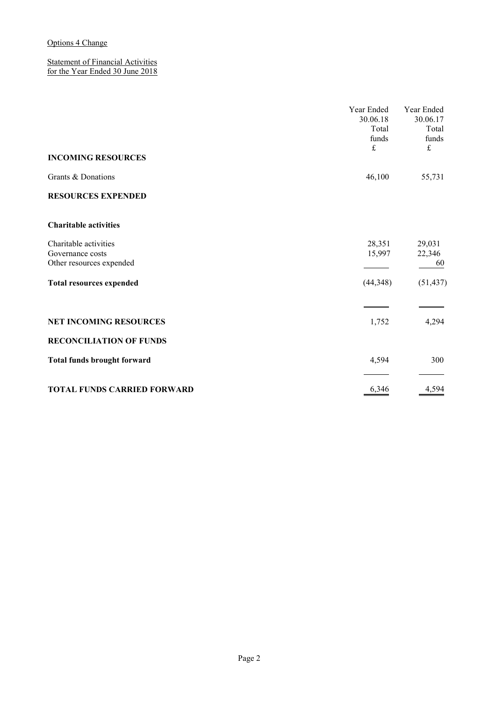Statement of Financial Activities for the Year Ended 30 June 2018

|                                                                       | Year Ended<br>30.06.18<br>Total<br>funds<br>£ | Year Ended<br>30.06.17<br>Total<br>funds<br>£ |
|-----------------------------------------------------------------------|-----------------------------------------------|-----------------------------------------------|
| <b>INCOMING RESOURCES</b>                                             |                                               |                                               |
| Grants & Donations                                                    | 46,100                                        | 55,731                                        |
| <b>RESOURCES EXPENDED</b>                                             |                                               |                                               |
| <b>Charitable activities</b>                                          |                                               |                                               |
| Charitable activities<br>Governance costs<br>Other resources expended | 28,351<br>15,997                              | 29,031<br>22,346<br>60                        |
| <b>Total resources expended</b>                                       | (44,348)                                      | (51, 437)                                     |
|                                                                       |                                               |                                               |
| <b>NET INCOMING RESOURCES</b>                                         | 1,752                                         | 4,294                                         |
| <b>RECONCILIATION OF FUNDS</b>                                        |                                               |                                               |
| <b>Total funds brought forward</b>                                    | 4,594                                         | 300                                           |
| <b>TOTAL FUNDS CARRIED FORWARD</b>                                    | 6,346                                         | 4,594                                         |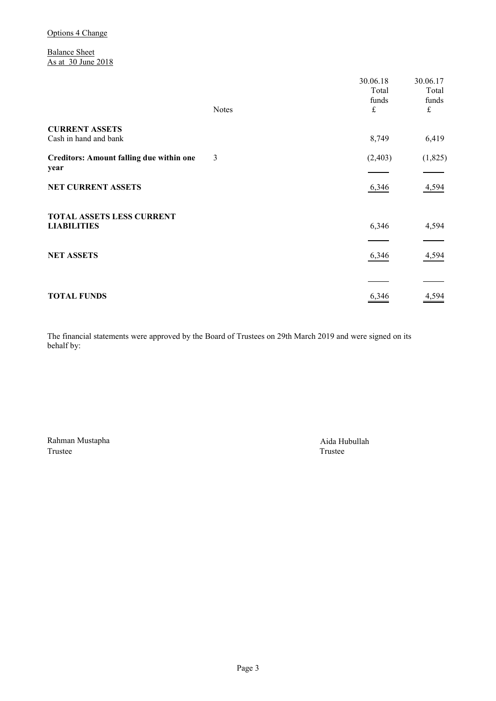Balance Sheet As at 30 June 2018

| <b>Notes</b> | Total<br>funds<br>£ | 30.06.17<br>Total<br>funds<br>$\pounds$ |
|--------------|---------------------|-----------------------------------------|
|              | 8,749               | 6,419                                   |
| 3            | (2,403)             | (1,825)                                 |
|              | 6,346               | 4,594                                   |
|              | 6,346               | 4,594                                   |
|              | 6,346               | 4,594                                   |
|              |                     | 4,594                                   |
|              |                     | 30.06.18<br>6,346                       |

The financial statements were approved by the Board of Trustees on 29th March 2019 and were signed on its behalf by:

Rahman Mustapha <br>Trustee <br>Trustee <br>Trustee <br>Trustee <br>Trustee <br>Trustee <br>Trustee <br>Trustee <br>Trustee <br>Trustee <br>Trustee <br>Trustee <br>Difference <br>Difference <br>Difference <br>Difference <br>Difference <br>Difference <br>Difference <br>Difference <br>D Trustee Trustee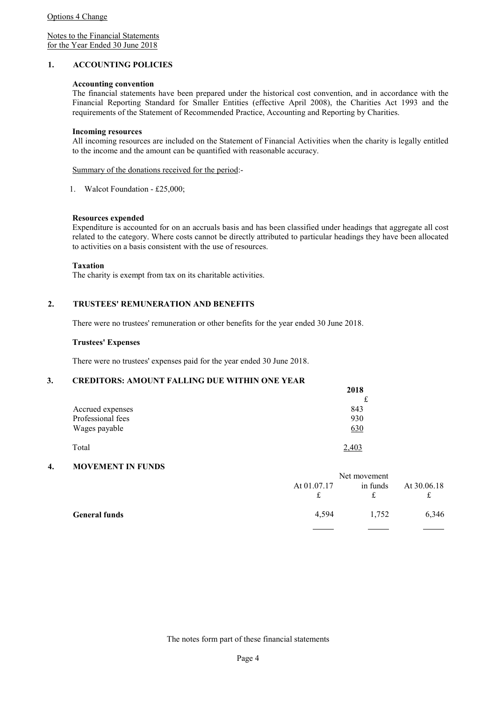Notes to the Financial Statements for the Year Ended 30 June 2018

#### **1. ACCOUNTING POLICIES**

#### **Accounting convention**

The financial statements have been prepared under the historical cost convention, and in accordance with the Financial Reporting Standard for Smaller Entities (effective April 2008), the Charities Act 1993 and the requirements of the Statement of Recommended Practice, Accounting and Reporting by Charities.

#### **Incoming resources**

All incoming resources are included on the Statement of Financial Activities when the charity is legally entitled to the income and the amount can be quantified with reasonable accuracy.

Summary of the donations received for the period:-

1. Walcot Foundation - £25,000;

#### **Resources expended**

Expenditure is accounted for on an accruals basis and has been classified under headings that aggregate all cost related to the category. Where costs cannot be directly attributed to particular headings they have been allocated to activities on a basis consistent with the use of resources.

**Taxation** 

The charity is exempt from tax on its charitable activities.

#### **2. TRUSTEES' REMUNERATION AND BENEFITS**

There were no trustees' remuneration or other benefits for the year ended 30 June 2018.

#### **Trustees' Expenses**

There were no trustees' expenses paid for the year ended 30 June 2018.

#### **3. CREDITORS: AMOUNT FALLING DUE WITHIN ONE YEAR**

|                   | 2018  |
|-------------------|-------|
|                   | £     |
| Accrued expenses  | 843   |
| Professional fees | 930   |
| Wages payable     | 630   |
| Total             | 2.403 |

#### **4. MOVEMENT IN FUNDS**

|                      | Net movement |          |                   |
|----------------------|--------------|----------|-------------------|
|                      | At 01.07.17  | in funds | At 30.06.18<br>ىد |
| <b>General funds</b> | 4.594        | 1.752    | 6,346             |
|                      |              |          |                   |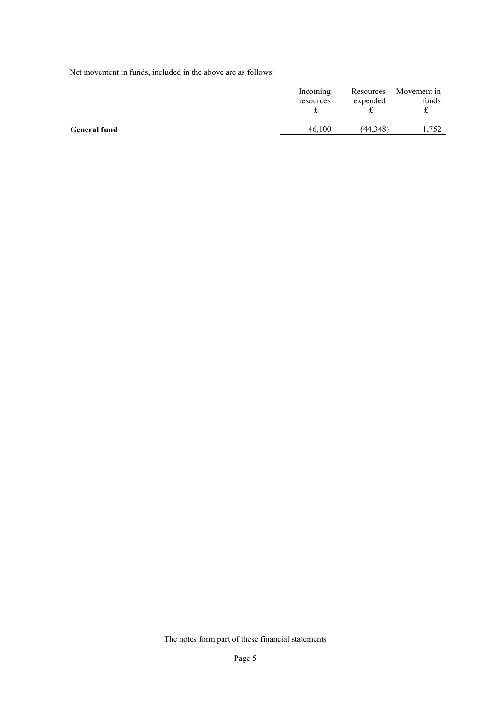Net movement in funds, included in the above are as follows:

|                     | Incoming  | Resources | Movement in |
|---------------------|-----------|-----------|-------------|
|                     | resources | expended  | funds       |
| <b>General fund</b> | 46.100    | (44.348)  | 1,752       |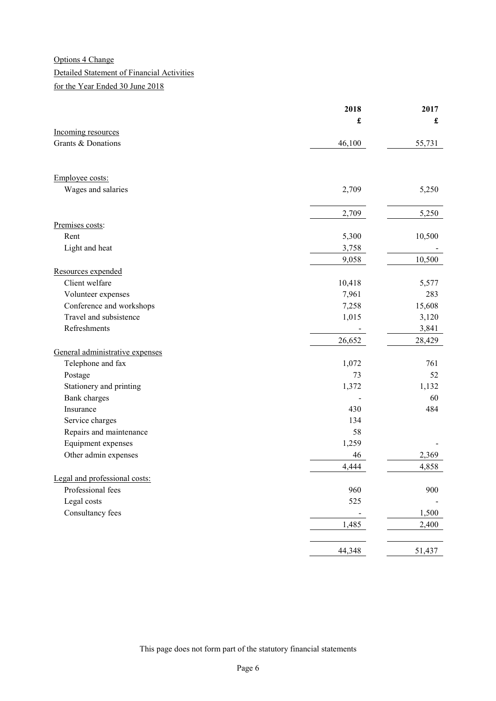## Detailed Statement of Financial Activities

for the Year Ended 30 June 2018

|                                 | 2018   | 2017                 |
|---------------------------------|--------|----------------------|
|                                 | £      | $\pmb{\mathfrak{L}}$ |
| Incoming resources              |        |                      |
| Grants & Donations              | 46,100 | 55,731               |
|                                 |        |                      |
| Employee costs:                 |        |                      |
| Wages and salaries              | 2,709  | 5,250                |
|                                 | 2,709  | 5,250                |
| Premises costs:                 |        |                      |
| Rent                            | 5,300  | 10,500               |
| Light and heat                  | 3,758  |                      |
|                                 | 9,058  | 10,500               |
| Resources expended              |        |                      |
| Client welfare                  | 10,418 | 5,577                |
| Volunteer expenses              | 7,961  | 283                  |
| Conference and workshops        | 7,258  | 15,608               |
| Travel and subsistence          | 1,015  | 3,120                |
| Refreshments                    |        | 3,841                |
|                                 | 26,652 | 28,429               |
| General administrative expenses |        |                      |
| Telephone and fax               | 1,072  | 761                  |
| Postage                         | 73     | 52                   |
| Stationery and printing         | 1,372  | 1,132                |
| <b>Bank</b> charges             |        | 60                   |
| Insurance                       | 430    | 484                  |
| Service charges                 | 134    |                      |
| Repairs and maintenance         | 58     |                      |
| Equipment expenses              | 1,259  |                      |
| Other admin expenses            | 46     | 2,369                |
|                                 | 4,444  | 4,858                |
| Legal and professional costs:   |        |                      |
| Professional fees               | 960    | 900                  |
| Legal costs                     | 525    |                      |
| Consultancy fees                |        | 1,500                |
|                                 | 1,485  | 2,400                |
|                                 | 44,348 | 51,437               |